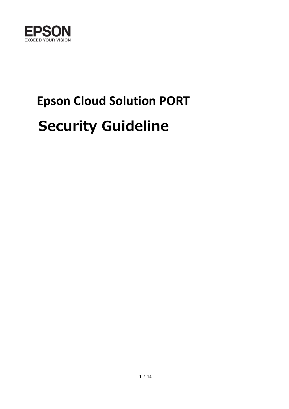

# **Epson Cloud Solution PORT Security Guideline**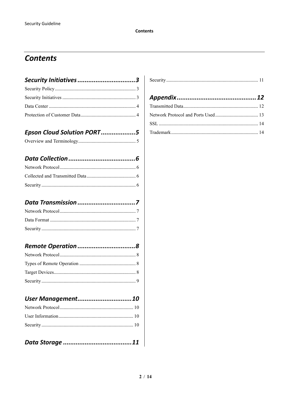#### **Contents**

| Security Initiatives 3     |  |
|----------------------------|--|
|                            |  |
|                            |  |
|                            |  |
|                            |  |
| Epson Cloud Solution PORT5 |  |
|                            |  |
|                            |  |
|                            |  |
|                            |  |
|                            |  |
|                            |  |
|                            |  |
|                            |  |
|                            |  |
|                            |  |
|                            |  |
|                            |  |
|                            |  |
|                            |  |
| User Management10          |  |
|                            |  |
|                            |  |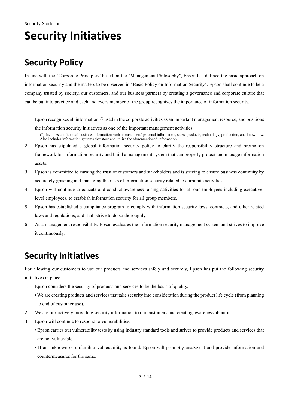## <span id="page-2-0"></span>**Security Initiatives**

#### <span id="page-2-1"></span>**Security Policy**

In line with the "Corporate Principles" based on the "Management Philosophy", Epson has defined the basic approach on information security and the matters to be observed in "Basic Policy on Information Security". Epson shall continue to be a company trusted by society, our customers, and our business partners by creating a governance and corporate culture that can be put into practice and each and every member of the group recognizes the importance of information security.

- 1. Epson recognizes all information (\*) used in the corporate activities as an important management resource, and positions the information security initiatives as one of the important management activities.
	- (\*) Includes confidential business information such as customers' personal information, sales, products, technology, production, and know-how. Also includes information systems that store and utilize the aforementioned information.
- 2. Epson has stipulated a global information security policy to clarify the responsibility structure and promotion framework for information security and build a management system that can properly protect and manage information assets.
- 3. Epson is committed to earning the trust of customers and stakeholders and is striving to ensure business continuity by accurately grasping and managing the risks of information security related to corporate activities.
- 4. Epson will continue to educate and conduct awareness-raising activities for all our employees including executivelevel employees, to establish information security for all group members.
- 5. Epson has established a compliance program to comply with information security laws, contracts, and other related laws and regulations, and shall strive to do so thoroughly.
- 6. As a management responsibility, Epson evaluates the information security management system and strives to improve it continuously.

#### <span id="page-2-2"></span>**Security Initiatives**

For allowing our customers to use our products and services safely and securely, Epson has put the following security initiatives in place.

- 1. Epson considers the security of products and services to be the basis of quality.
	- We are creating products and services that take security into consideration during the product life cycle (from planning to end of customer use).
- 2. We are pro-actively providing security information to our customers and creating awareness about it.
- 3. Epson will continue to respond to vulnerabilities.
	- Epson carries out vulnerability tests by using industry standard tools and strives to provide products and services that are not vulnerable.
	- If an unknown or unfamiliar vulnerability is found, Epson will promptly analyze it and provide information and countermeasures for the same.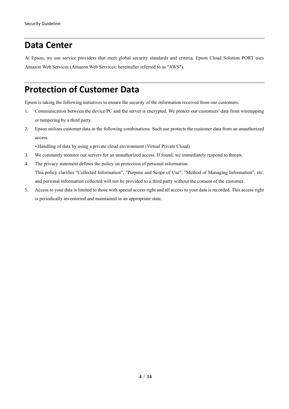#### <span id="page-3-0"></span>**Data Center**

At Epson, we use service providers that meet global security standards and criteria. Epson Cloud Solution PORT uses Amazon Web Services (Amazon Web Services; hereinafter referred to as "AWS").

#### <span id="page-3-1"></span>**Protection of Customer Data**

Epson is taking the following initiatives to ensure the security of the information received from our customers.

- 1. Communication between the device/PC and the server is encrypted. We protect our customers' data from wiretapping or tampering by a third party.
- 2. Epson utilizes customer data in the following combinations. Such use protects the customer data from an unauthorized access.
	- Handling of data by using a private cloud environment (Virtual Private Cloud)
- 3. We constantly monitor our servers for an unauthorized access. If found, we immediately respond to threats.
- 4. The privacy statement defines the policy on protection of personal information. This policy clarifies "Collected Information", "Purpose and Scope of Use", "Method of Managing Information", etc. and personal information collected will not be provided to a third party without the consent of the customer.
- 5. Access to your data is limited to those with special access right and all access to your data is recorded. This access right is periodically inventoried and maintained in an appropriate state.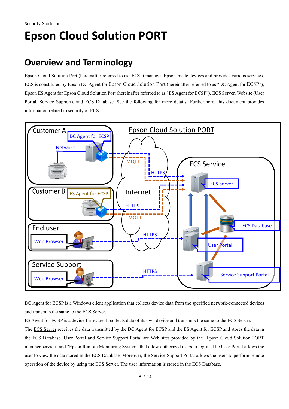## <span id="page-4-0"></span>**Epson Cloud Solution PORT**

#### <span id="page-4-1"></span>**Overview and Terminology**

Epson Cloud Solution Port (hereinafter referred to as "ECS") manages Epson-made devices and provides various services. ECS is constituted by Epson DC Agent for Epson Cloud Solution Port (hereinafter referred to as "DC Agent for ECSP"), Epson ES Agent for Epson Cloud Solution Port (hereinafter referred to as "ES Agent for ECSP"), ECS Server, Website (User Portal, Service Support), and ECS Database. See the following for more details. Furthermore, this document provides information related to security of ECS.



DC Agent for ECSP is a Windows client application that collects device data from the specified network-connected devices and transmits the same to the ECS Server.

ES Agent for ECSP is a device firmware. It collects data of its own device and transmits the same to the ECS Server.

The ECS Server receives the data transmitted by the DC Agent for ECSP and the ES Agent for ECSP and stores the data in the ECS Database. User Portal and Service Support Portal are Web sites provided by the "Epson Cloud Solution PORT member service" and "Epson Remote Monitoring System" that allow authorized users to log in. The User Portal allows the user to view the data stored in the ECS Database. Moreover, the Service Support Portal allows the users to perform remote operation of the device by using the ECS Server. The user information is stored in the ECS Database.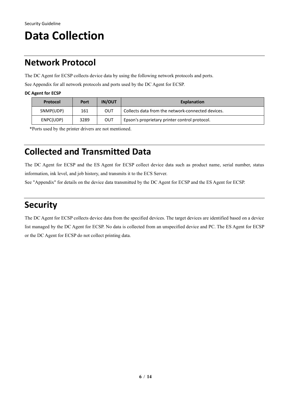## <span id="page-5-0"></span>**Data Collection**

#### <span id="page-5-1"></span>**Network Protocol**

The DC Agent for ECSP collects device data by using the following network protocols and ports.

See Appendix for all network protocols and ports used by the DC Agent for ECSP.

**DC Agent for ECSP**

| <b>Protocol</b> | <b>Port</b> | <b>IN/OUT</b> | Explanation                                       |
|-----------------|-------------|---------------|---------------------------------------------------|
| SNMP(UDP)       | 161         | OUT           | Collects data from the network-connected devices. |
| ENPC(UDP)       | 3289        | OUT           | Epson's proprietary printer control protocol.     |

\*Ports used by the printer drivers are not mentioned.

### <span id="page-5-2"></span>**Collected and Transmitted Data**

The DC Agent for ECSP and the ES Agent for ECSP collect device data such as product name, serial number, status information, ink level, and job history, and transmits it to the ECS Server.

See "Appendix" for details on the device data transmitted by the DC Agent for ECSP and the ES Agent for ECSP.

#### <span id="page-5-3"></span>**Security**

The DC Agent for ECSP collects device data from the specified devices. The target devices are identified based on a device list managed by the DC Agent for ECSP. No data is collected from an unspecified device and PC. The ES Agent for ECSP or the DC Agent for ECSP do not collect printing data.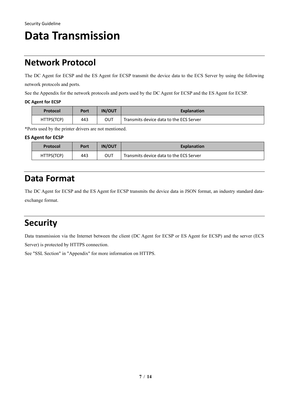## <span id="page-6-0"></span>**Data Transmission**

#### <span id="page-6-1"></span>**Network Protocol**

The DC Agent for ECSP and the ES Agent for ECSP transmit the device data to the ECS Server by using the following network protocols and ports.

See the Appendix for the network protocols and ports used by the DC Agent for ECSP and the ES Agent for ECSP.

#### **DC Agent for ECSP**

| <b>Protocol</b> | Port | <b>IN/OUT</b> | <b>Explanation</b>                      |
|-----------------|------|---------------|-----------------------------------------|
| HTTPS(TCP)      | 443  | OUT           | Transmits device data to the ECS Server |

\*Ports used by the printer drivers are not mentioned.

#### **ES Agent for ECSP**

| Protocol   | Port | <b>IN/OUT</b> | <b>Explanation</b>                      |
|------------|------|---------------|-----------------------------------------|
| HTTPS(TCP) | 443  | OUT           | Transmits device data to the ECS Server |

#### <span id="page-6-2"></span>**Data Format**

The DC Agent for ECSP and the ES Agent for ECSP transmits the device data in JSON format, an industry standard dataexchange format.

#### <span id="page-6-3"></span>**Security**

Data transmission via the Internet between the client (DC Agent for ECSP or ES Agent for ECSP) and the server (ECS Server) is protected by HTTPS connection.

See "SSL Section" in "Appendix" for more information on HTTPS.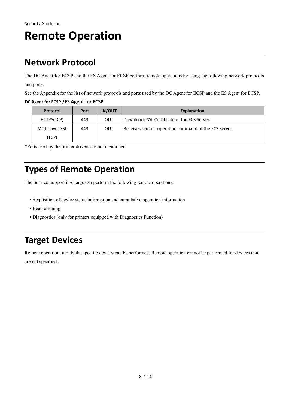## <span id="page-7-0"></span>**Remote Operation**

#### <span id="page-7-1"></span>**Network Protocol**

The DC Agent for ECSP and the ES Agent for ECSP perform remote operations by using the following network protocols and ports.

See the Appendix for the list of network protocols and ports used by the DC Agent for ECSP and the ES Agent for ECSP.

#### **DC Agent for ECSP /ES Agent for ECSP**

| <b>Protocol</b> | Port | <b>IN/OUT</b> | Explanation                                          |
|-----------------|------|---------------|------------------------------------------------------|
| HTTPS(TCP)      | 443  | OUT           | Downloads SSL Certificate of the ECS Server.         |
| MQTT over SSL   | 443  | OUT           | Receives remote operation command of the ECS Server. |
| (TCP)           |      |               |                                                      |

\*Ports used by the printer drivers are not mentioned.

### <span id="page-7-2"></span>**Types of Remote Operation**

The Service Support in-charge can perform the following remote operations:

- Acquisition of device status information and cumulative operation information
- Head cleaning
- Diagnostics (only for printers equipped with Diagnostics Function)

#### <span id="page-7-3"></span>**Target Devices**

Remote operation of only the specific devices can be performed. Remote operation cannot be performed for devices that are not specified.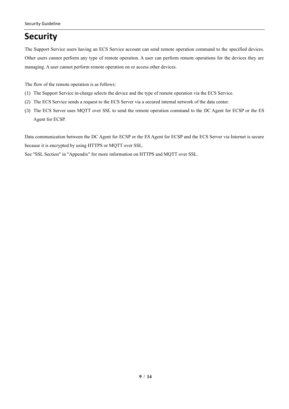### <span id="page-8-0"></span>**Security**

The Support Service users having an ECS Service account can send remote operation command to the specified devices. Other users cannot perform any type of remote operation. A user can perform remote operations for the devices they are managing. A user cannot perform remote operation on or access other devices.

The flow of the remote operation is as follows:

- (1) The Support Service in-charge selects the device and the type of remote operation via the ECS Service.
- (2) The ECS Service sends a request to the ECS Server via a secured internal network of the data center.
- (3) The ECS Server uses MQTT over SSL to send the remote operation command to the DC Agent for ECSP or the ES Agent for ECSP.

Data communication between the DC Agent for ECSP or the ES Agent for ECSP and the ECS Server via Internet is secure because it is encrypted by using HTTPS or MQTT over SSL.

See "SSL Section" in "Appendix" for more information on HTTPS and MQTT over SSL.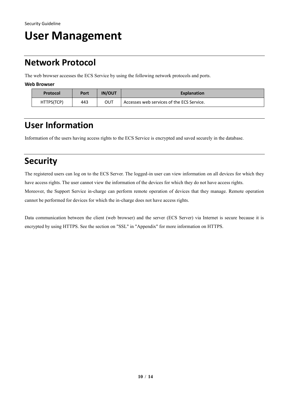## <span id="page-9-0"></span>**User Management**

### <span id="page-9-1"></span>**Network Protocol**

The web browser accesses the ECS Service by using the following network protocols and ports.

**Web Browser**

| <b>Protocol</b> | Port | <b>IN/OUT</b> | <b>Explanation</b>                        |
|-----------------|------|---------------|-------------------------------------------|
| HTTPS(TCP)      | 443  | OUT           | Accesses web services of the ECS Service. |

### <span id="page-9-2"></span>**User Information**

Information of the users having access rights to the ECS Service is encrypted and saved securely in the database.

### <span id="page-9-3"></span>**Security**

The registered users can log on to the ECS Server. The logged-in user can view information on all devices for which they have access rights. The user cannot view the information of the devices for which they do not have access rights. Moreover, the Support Service in-charge can perform remote operation of devices that they manage. Remote operation cannot be performed for devices for which the in-charge does not have access rights.

Data communication between the client (web browser) and the server (ECS Server) via Internet is secure because it is encrypted by using HTTPS. See the section on "SSL" in "Appendix" for more information on HTTPS.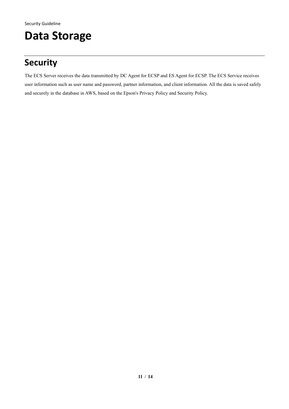## <span id="page-10-0"></span>**Data Storage**

### <span id="page-10-1"></span>**Security**

The ECS Server receives the data transmitted by DC Agent for ECSP and ES Agent for ECSP. The ECS Service receives user information such as user name and password, partner information, and client information. All the data is saved safely and securely in the database in AWS, based on the Epson's Privacy Policy and Security Policy.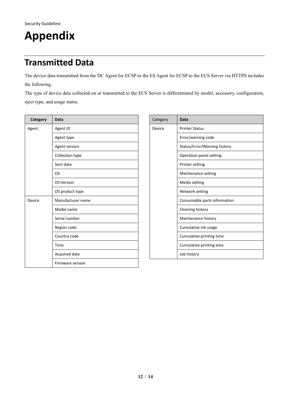## <span id="page-11-0"></span>**Appendix**

### <span id="page-11-1"></span>**Transmitted Data**

The device data transmitted from the DC Agent for ECSP or the ES Agent for ECSP to the ECS Server via HTTPS includes the following.

The type of device data collected on or transmitted to the ECS Server is differentiated by model, accessory, configuration, eject type, and usage status.

| Category | <b>Data</b>          |  |  |
|----------|----------------------|--|--|
| Agent    | Agent ID             |  |  |
|          | Agent type           |  |  |
|          | <b>Agent version</b> |  |  |
|          | Collection type      |  |  |
|          | Sent date            |  |  |
|          | OS                   |  |  |
|          | <b>OS Version</b>    |  |  |
|          | OS product type      |  |  |
| Device   | Manufacturer name    |  |  |
|          | Model name           |  |  |
|          | Serial number        |  |  |
|          | Region code          |  |  |
|          | Country code         |  |  |
|          | Time                 |  |  |
|          | Acquired date        |  |  |
|          | Firmware version     |  |  |

| Category | Data                         |  |  |
|----------|------------------------------|--|--|
| Device   | <b>Printer Status</b>        |  |  |
|          | Error/warning code           |  |  |
|          | Status/Error/Warning history |  |  |
|          | Operation panel setting      |  |  |
|          | Printer setting              |  |  |
|          | Maintenance setting          |  |  |
|          | Media setting                |  |  |
|          | Network setting              |  |  |
|          | Consumable parts information |  |  |
|          | Cleaning history             |  |  |
|          | Maintenance history          |  |  |
|          | Cumulative ink usage         |  |  |
|          | Cumulative printing time     |  |  |
|          | Cumulative printing area     |  |  |
|          | Job history                  |  |  |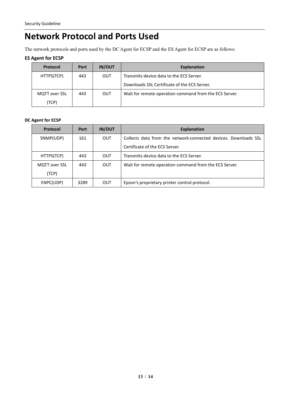#### <span id="page-12-0"></span>**Network Protocol and Ports Used**

The network protocols and ports used by the DC Agent for ECSP and the ES Agent for ECSP are as follows:

#### **ES Agent for ECSP**

| Protocol             | Port | <b>IN/OUT</b> | Explanation                                            |
|----------------------|------|---------------|--------------------------------------------------------|
| HTTPS(TCP)           | 443  | OUT           | Transmits device data to the ECS Server.               |
|                      |      |               | Downloads SSL Certificate of the ECS Server.           |
| <b>MQTT</b> over SSL | 443  | OUT           | Wait for remote operation command from the ECS Server. |
| (TCP)                |      |               |                                                        |

#### **DC Agent for ECSP**

| Protocol             | Port | <b>IN/OUT</b> | <b>Explanation</b>                                              |
|----------------------|------|---------------|-----------------------------------------------------------------|
| SNMP(UDP)            | 161  | <b>OUT</b>    | Collects data from the network-connected devices. Downloads SSL |
|                      |      |               | Certificate of the ECS Server.                                  |
| HTTPS(TCP)           | 443  | <b>OUT</b>    | Transmits device data to the ECS Server.                        |
| <b>MQTT</b> over SSL | 443  | <b>OUT</b>    | Wait for remote operation command from the ECS Server.          |
| (TCP)                |      |               |                                                                 |
| ENPC(UDP)            | 3289 | <b>OUT</b>    | Epson's proprietary printer control protocol.                   |